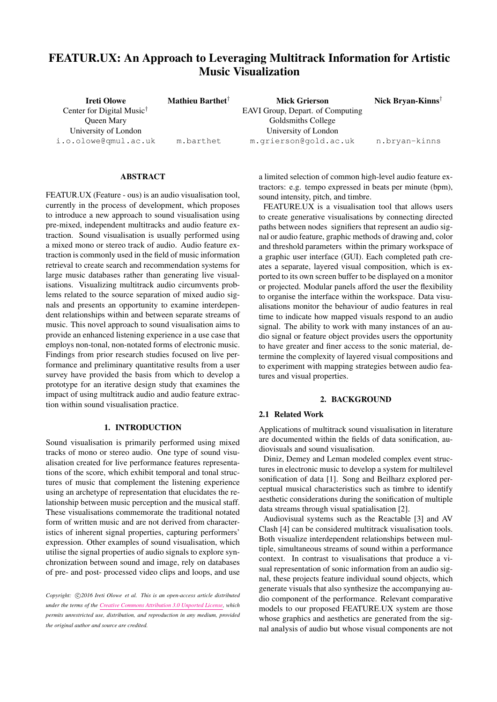# FEATUR.UX: An Approach to Leveraging Multitrack Information for Artistic Music Visualization

| <b>Ireti Olowe</b>                    | Mathieu Barthet <sup>†</sup> | <b>Mick Grierson</b>             | Nick Bryan-Kinns <sup>†</sup> |
|---------------------------------------|------------------------------|----------------------------------|-------------------------------|
| Center for Digital Music <sup>†</sup> |                              | EAVI Group, Depart. of Computing |                               |
| Queen Mary                            |                              | Goldsmiths College               |                               |
| University of London                  |                              | University of London             |                               |
| i.o.olowe@qmul.ac.uk                  | m.barthet                    | m.grierson@gold.ac.uk            | n.bryan-kinns                 |

#### ABSTRACT

FEATUR.UX (Feature - ous) is an audio visualisation tool, currently in the process of development, which proposes to introduce a new approach to sound visualisation using pre-mixed, independent multitracks and audio feature extraction. Sound visualisation is usually performed using a mixed mono or stereo track of audio. Audio feature extraction is commonly used in the field of music information retrieval to create search and recommendation systems for large music databases rather than generating live visualisations. Visualizing multitrack audio circumvents problems related to the source separation of mixed audio signals and presents an opportunity to examine interdependent relationships within and between separate streams of music. This novel approach to sound visualisation aims to provide an enhanced listening experience in a use case that employs non-tonal, non-notated forms of electronic music. Findings from prior research studies focused on live performance and preliminary quantitative results from a user survey have provided the basis from which to develop a prototype for an iterative design study that examines the impact of using multitrack audio and audio feature extraction within sound visualisation practice.

## 1. INTRODUCTION

Sound visualisation is primarily performed using mixed tracks of mono or stereo audio. One type of sound visualisation created for live performance features representations of the score, which exhibit temporal and tonal structures of music that complement the listening experience using an archetype of representation that elucidates the relationship between music perception and the musical staff. These visualisations commemorate the traditional notated form of written music and are not derived from characteristics of inherent signal properties, capturing performers' expression. Other examples of sound visualisation, which utilise the signal properties of audio signals to explore synchronization between sound and image, rely on databases of pre- and post- processed video clips and loops, and use a limited selection of common high-level audio feature extractors: e.g. tempo expressed in beats per minute (bpm), sound intensity, pitch, and timbre.

FEATURE.UX is a visualisation tool that allows users to create generative visualisations by connecting directed paths between nodes signifiers that represent an audio signal or audio feature, graphic methods of drawing and, color and threshold parameters within the primary workspace of a graphic user interface (GUI). Each completed path creates a separate, layered visual composition, which is exported to its own screen buffer to be displayed on a monitor or projected. Modular panels afford the user the flexibility to organise the interface within the workspace. Data visualisations monitor the behaviour of audio features in real time to indicate how mapped visuals respond to an audio signal. The ability to work with many instances of an audio signal or feature object provides users the opportunity to have greater and finer access to the sonic material, determine the complexity of layered visual compositions and to experiment with mapping strategies between audio features and visual properties.

## 2. BACKGROUND

## 2.1 Related Work

Applications of multitrack sound visualisation in literature are documented within the fields of data sonification, audiovisuals and sound visualisation.

Diniz, Demey and Leman modeled complex event structures in electronic music to develop a system for multilevel sonification of data [\[1\]](#page-8-0). Song and Beilharz explored perceptual musical characteristics such as timbre to identify aesthetic considerations during the sonification of multiple data streams through visual spatialisation [\[2\]](#page-8-1).

Audiovisual systems such as the Reactable [\[3\]](#page-8-2) and AV Clash [\[4\]](#page-8-3) can be considered multitrack visualisation tools. Both visualize interdependent relationships between multiple, simultaneous streams of sound within a performance context. In contrast to visualisations that produce a visual representation of sonic information from an audio signal, these projects feature individual sound objects, which generate visuals that also synthesize the accompanying audio component of the performance. Relevant comparative models to our proposed FEATURE.UX system are those whose graphics and aesthetics are generated from the signal analysis of audio but whose visual components are not

Copyright:  $\bigcirc$ 2016 Ireti Olowe et al. This is an open-access article distributed *under the terms of the [Creative Commons Attribution 3.0 Unported License,](http://creativecommons.org/licenses/by/3.0/) which permits unrestricted use, distribution, and reproduction in any medium, provided the original author and source are credited.*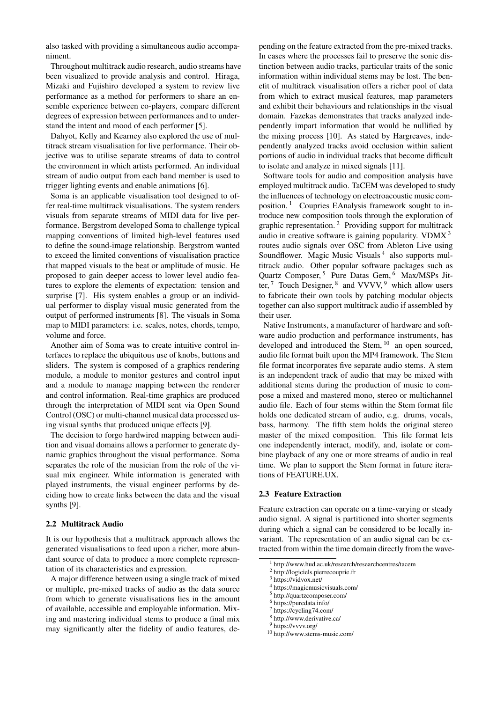also tasked with providing a simultaneous audio accompaniment.

Throughout multitrack audio research, audio streams have been visualized to provide analysis and control. Hiraga, Mizaki and Fujishiro developed a system to review live performance as a method for performers to share an ensemble experience between co-players, compare different degrees of expression between performances and to understand the intent and mood of each performer [\[5\]](#page-8-4).

Dahyot, Kelly and Kearney also explored the use of multitrack stream visualisation for live performance. Their objective was to utilise separate streams of data to control the environment in which artists performed. An individual stream of audio output from each band member is used to trigger lighting events and enable animations [\[6\]](#page-8-5).

Soma is an applicable visualisation tool designed to offer real-time multitrack visualisations. The system renders visuals from separate streams of MIDI data for live performance. Bergstrom developed Soma to challenge typical mapping conventions of limited high-level features used to define the sound-image relationship. Bergstrom wanted to exceed the limited conventions of visualisation practice that mapped visuals to the beat or amplitude of music. He proposed to gain deeper access to lower level audio features to explore the elements of expectation: tension and surprise [\[7\]](#page-8-6). His system enables a group or an individual performer to display visual music generated from the output of performed instruments [\[8\]](#page-8-7). The visuals in Soma map to MIDI parameters: i.e. scales, notes, chords, tempo, volume and force.

Another aim of Soma was to create intuitive control interfaces to replace the ubiquitous use of knobs, buttons and sliders. The system is composed of a graphics rendering module, a module to monitor gestures and control input and a module to manage mapping between the renderer and control information. Real-time graphics are produced through the interpretation of MIDI sent via Open Sound Control (OSC) or multi-channel musical data processed using visual synths that produced unique effects [\[9\]](#page-8-8).

The decision to forgo hardwired mapping between audition and visual domains allows a performer to generate dynamic graphics throughout the visual performance. Soma separates the role of the musician from the role of the visual mix engineer. While information is generated with played instruments, the visual engineer performs by deciding how to create links between the data and the visual synths [\[9\]](#page-8-8).

## 2.2 Multitrack Audio

It is our hypothesis that a multitrack approach allows the generated visualisations to feed upon a richer, more abundant source of data to produce a more complete representation of its characteristics and expression.

A major difference between using a single track of mixed or multiple, pre-mixed tracks of audio as the data source from which to generate visualisations lies in the amount of available, accessible and employable information. Mixing and mastering individual stems to produce a final mix may significantly alter the fidelity of audio features, depending on the feature extracted from the pre-mixed tracks. In cases where the processes fail to preserve the sonic distinction between audio tracks, particular traits of the sonic information within individual stems may be lost. The benefit of multitrack visualisation offers a richer pool of data from which to extract musical features, map parameters and exhibit their behaviours and relationships in the visual domain. Fazekas demonstrates that tracks analyzed independently impart information that would be nullified by the mixing process [\[10\]](#page-8-9). As stated by Hargreaves, independently analyzed tracks avoid occlusion within salient portions of audio in individual tracks that become difficult to isolate and analyze in mixed signals [\[11\]](#page-8-10).

Software tools for audio and composition analysis have employed multitrack audio. TaCEM was developed to study the influences of technology on electroacoustic music composition. [1](#page-1-0) Coupries EAnalysis framework sought to introduce new composition tools through the exploration of graphic representation. [2](#page-1-1) Providing support for multitrack audio in creative software is gaining popularity. VDMX [3](#page-1-2) routes audio signals over OSC from Ableton Live using Soundflower. Magic Music Visuals<sup>[4](#page-1-3)</sup> also supports multitrack audio. Other popular software packages such as Quartz Composer,<sup>[5](#page-1-4)</sup> Pure Datas Gem,  $\overline{6}$  $\overline{6}$  $\overline{6}$  Max/MSPs Jitter,  $7$  Touch Designer,  $8$  and VVVV,  $9$  which allow users to fabricate their own tools by patching modular objects together can also support multitrack audio if assembled by their user.

Native Instruments, a manufacturer of hardware and software audio production and performance instruments, has developed and introduced the Stem, <sup>[10](#page-1-9)</sup> an open sourced, audio file format built upon the MP4 framework. The Stem file format incorporates five separate audio stems. A stem is an independent track of audio that may be mixed with additional stems during the production of music to compose a mixed and mastered mono, stereo or multichannel audio file. Each of four stems within the Stem format file holds one dedicated stream of audio, e.g. drums, vocals, bass, harmony. The fifth stem holds the original stereo master of the mixed composition. This file format lets one independently interact, modify, and, isolate or combine playback of any one or more streams of audio in real time. We plan to support the Stem format in future iterations of FEATURE.UX.

## 2.3 Feature Extraction

Feature extraction can operate on a time-varying or steady audio signal. A signal is partitioned into shorter segments during which a signal can be considered to be locally invariant. The representation of an audio signal can be extracted from within the time domain directly from the wave-

<span id="page-1-0"></span><sup>1</sup> http://www.hud.ac.uk/research/researchcentres/tacem

<span id="page-1-1"></span><sup>2</sup> http://logiciels.pierrecouprie.fr

<span id="page-1-2"></span><sup>3</sup> https://vidvox.net/

<span id="page-1-3"></span><sup>4</sup> https://magicmusicvisuals.com/

<span id="page-1-4"></span><sup>5</sup> http://quartzcomposer.com/

<span id="page-1-5"></span><sup>6</sup> https://puredata.info/

<span id="page-1-6"></span><sup>7</sup> https://cycling74.com/

<span id="page-1-7"></span><sup>8</sup> http://www.derivative.ca/

<span id="page-1-8"></span><sup>9</sup> https://vvvv.org/

<span id="page-1-9"></span><sup>10</sup> http://www.stems-music.com/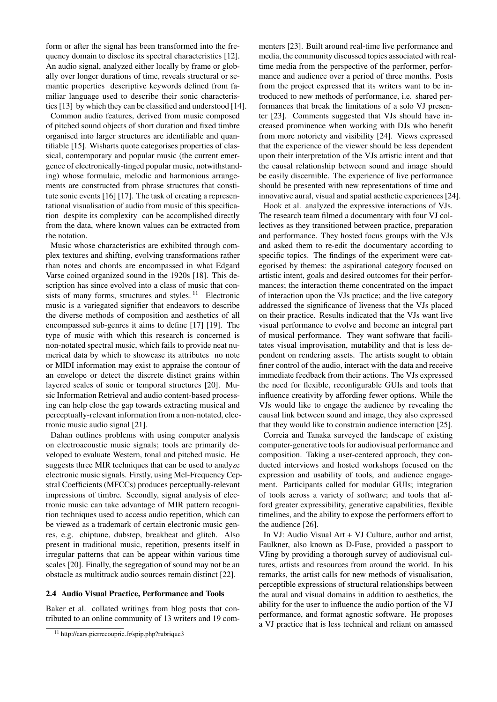form or after the signal has been transformed into the frequency domain to disclose its spectral characteristics [\[12\]](#page-8-11). An audio signal, analyzed either locally by frame or globally over longer durations of time, reveals structural or semantic properties descriptive keywords defined from familiar language used to describe their sonic characteristics [\[13\]](#page-8-12) by which they can be classified and understood [\[14\]](#page-8-13).

Common audio features, derived from music composed of pitched sound objects of short duration and fixed timbre organised into larger structures are identifiable and quantifiable [\[15\]](#page-8-14). Wisharts quote categorises properties of classical, contemporary and popular music (the current emergence of electronically-tinged popular music, notwithstanding) whose formulaic, melodic and harmonious arrangements are constructed from phrase structures that constitute sonic events [\[16\]](#page-8-15) [\[17\]](#page-8-16). The task of creating a representational visualisation of audio from music of this specification despite its complexity can be accomplished directly from the data, where known values can be extracted from the notation.

Music whose characteristics are exhibited through complex textures and shifting, evolving transformations rather than notes and chords are encompassed in what Edgard Varse coined organized sound in the 1920s [\[18\]](#page-9-0). This description has since evolved into a class of music that consists of many forms, structures and styles.  $11$  Electronic music is a variegated signifier that endeavors to describe the diverse methods of composition and aesthetics of all encompassed sub-genres it aims to define [\[17\]](#page-8-16) [\[19\]](#page-9-1). The type of music with which this research is concerned is non-notated spectral music, which fails to provide neat numerical data by which to showcase its attributes no note or MIDI information may exist to appraise the contour of an envelope or detect the discrete distinct grains within layered scales of sonic or temporal structures [\[20\]](#page-9-2). Music Information Retrieval and audio content-based processing can help close the gap towards extracting musical and perceptually-relevant information from a non-notated, electronic music audio signal [\[21\]](#page-9-3).

Dahan outlines problems with using computer analysis on electroacoustic music signals; tools are primarily developed to evaluate Western, tonal and pitched music. He suggests three MIR techniques that can be used to analyze electronic music signals. Firstly, using Mel-Frequency Cepstral Coefficients (MFCCs) produces perceptually-relevant impressions of timbre. Secondly, signal analysis of electronic music can take advantage of MIR pattern recognition techniques used to access audio repetition, which can be viewed as a trademark of certain electronic music genres, e.g. chiptune, dubstep, breakbeat and glitch. Also present in traditional music, repetition, presents itself in irregular patterns that can be appear within various time scales [\[20\]](#page-9-2). Finally, the segregation of sound may not be an obstacle as multitrack audio sources remain distinct [\[22\]](#page-9-4).

#### 2.4 Audio Visual Practice, Performance and Tools

Baker et al. collated writings from blog posts that contributed to an online community of 13 writers and 19 commenters [\[23\]](#page-9-5). Built around real-time live performance and media, the community discussed topics associated with realtime media from the perspective of the performer, performance and audience over a period of three months. Posts from the project expressed that its writers want to be introduced to new methods of performance, i.e. shared performances that break the limitations of a solo VJ presenter [\[23\]](#page-9-5). Comments suggested that VJs should have increased prominence when working with DJs who benefit from more notoriety and visibility [\[24\]](#page-9-6). Views expressed that the experience of the viewer should be less dependent upon their interpretation of the VJs artistic intent and that the causal relationship between sound and image should be easily discernible. The experience of live performance should be presented with new representations of time and innovative aural, visual and spatial aesthetic experiences [\[24\]](#page-9-6).

Hook et al. analyzed the expressive interactions of VJs. The research team filmed a documentary with four VJ collectives as they transitioned between practice, preparation and performance. They hosted focus groups with the VJs and asked them to re-edit the documentary according to specific topics. The findings of the experiment were categorised by themes: the aspirational category focused on artistic intent, goals and desired outcomes for their performances; the interaction theme concentrated on the impact of interaction upon the VJs practice; and the live category addressed the significance of liveness that the VJs placed on their practice. Results indicated that the VJs want live visual performance to evolve and become an integral part of musical performance. They want software that facilitates visual improvisation, mutability and that is less dependent on rendering assets. The artists sought to obtain finer control of the audio, interact with the data and receive immediate feedback from their actions. The VJs expressed the need for flexible, reconfigurable GUIs and tools that influence creativity by affording fewer options. While the VJs would like to engage the audience by revealing the causal link between sound and image, they also expressed that they would like to constrain audience interaction [\[25\]](#page-9-7).

Correia and Tanaka surveyed the landscape of existing computer-generative tools for audiovisual performance and composition. Taking a user-centered approach, they conducted interviews and hosted workshops focused on the expression and usability of tools, and audience engagement. Participants called for modular GUIs; integration of tools across a variety of software; and tools that afford greater expressibility, generative capabilities, flexible timelines, and the ability to expose the performers effort to the audience [\[26\]](#page-9-8).

In VJ: Audio Visual Art + VJ Culture, author and artist, Faulkner, also known as D-Fuse, provided a passport to VJing by providing a thorough survey of audiovisual cultures, artists and resources from around the world. In his remarks, the artist calls for new methods of visualisation, perceptible expressions of structural relationships between the aural and visual domains in addition to aesthetics, the ability for the user to influence the audio portion of the VJ performance, and format agnostic software. He proposes a VJ practice that is less technical and reliant on amassed

<span id="page-2-0"></span><sup>11</sup> http://ears.pierrecouprie.fr/spip.php?rubrique3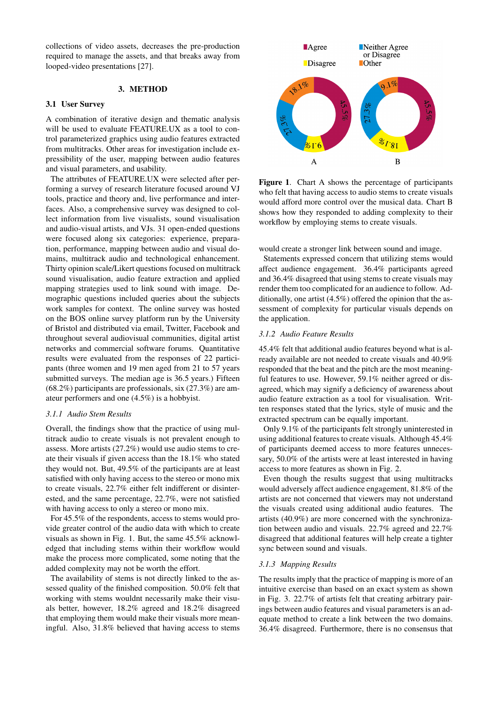collections of video assets, decreases the pre-production required to manage the assets, and that breaks away from looped-video presentations [\[27\]](#page-9-9).

## 3. METHOD

#### 3.1 User Survey

A combination of iterative design and thematic analysis will be used to evaluate FEATURE.UX as a tool to control parameterized graphics using audio features extracted from multitracks. Other areas for investigation include expressibility of the user, mapping between audio features and visual parameters, and usability.

The attributes of FEATURE.UX were selected after performing a survey of research literature focused around VJ tools, practice and theory and, live performance and interfaces. Also, a comprehensive survey was designed to collect information from live visualists, sound visualisation and audio-visual artists, and VJs. 31 open-ended questions were focused along six categories: experience, preparation, performance, mapping between audio and visual domains, multitrack audio and technological enhancement. Thirty opinion scale/Likert questions focused on multitrack sound visualisation, audio feature extraction and applied mapping strategies used to link sound with image. Demographic questions included queries about the subjects work samples for context. The online survey was hosted on the BOS online survey platform run by the University of Bristol and distributed via email, Twitter, Facebook and throughout several audiovisual communities, digital artist networks and commercial software forums. Quantitative results were evaluated from the responses of 22 participants (three women and 19 men aged from 21 to 57 years submitted surveys. The median age is 36.5 years.) Fifteen (68.2%) participants are professionals, six (27.3%) are amateur performers and one (4.5%) is a hobbyist.

#### *3.1.1 Audio Stem Results*

Overall, the findings show that the practice of using multitrack audio to create visuals is not prevalent enough to assess. More artists (27.2%) would use audio stems to create their visuals if given access than the 18.1% who stated they would not. But, 49.5% of the participants are at least satisfied with only having access to the stereo or mono mix to create visuals, 22.7% either felt indifferent or disinterested, and the same percentage, 22.7%, were not satisfied with having access to only a stereo or mono mix.

For 45.5% of the respondents, access to stems would provide greater control of the audio data with which to create visuals as shown in Fig. [1.](#page-3-0) But, the same 45.5% acknowledged that including stems within their workflow would make the process more complicated, some noting that the added complexity may not be worth the effort.

The availability of stems is not directly linked to the assessed quality of the finished composition. 50.0% felt that working with stems wouldnt necessarily make their visuals better, however, 18.2% agreed and 18.2% disagreed that employing them would make their visuals more meaningful. Also, 31.8% believed that having access to stems

<span id="page-3-0"></span>

Figure 1. Chart A shows the percentage of participants who felt that having access to audio stems to create visuals would afford more control over the musical data. Chart B shows how they responded to adding complexity to their workflow by employing stems to create visuals.

would create a stronger link between sound and image.

Statements expressed concern that utilizing stems would affect audience engagement. 36.4% participants agreed and 36.4% disagreed that using stems to create visuals may render them too complicated for an audience to follow. Additionally, one artist (4.5%) offered the opinion that the assessment of complexity for particular visuals depends on the application.

#### *3.1.2 Audio Feature Results*

45.4% felt that additional audio features beyond what is already available are not needed to create visuals and 40.9% responded that the beat and the pitch are the most meaningful features to use. However, 59.1% neither agreed or disagreed, which may signify a deficiency of awareness about audio feature extraction as a tool for visualisation. Written responses stated that the lyrics, style of music and the extracted spectrum can be equally important.

Only 9.1% of the participants felt strongly uninterested in using additional features to create visuals. Although 45.4% of participants deemed access to more features unnecessary, 50.0% of the artists were at least interested in having access to more features as shown in Fig. [2.](#page-4-0)

Even though the results suggest that using multitracks would adversely affect audience engagement, 81.8% of the artists are not concerned that viewers may not understand the visuals created using additional audio features. The artists (40.9%) are more concerned with the synchronization between audio and visuals. 22.7% agreed and 22.7% disagreed that additional features will help create a tighter sync between sound and visuals.

#### *3.1.3 Mapping Results*

The results imply that the practice of mapping is more of an intuitive exercise than based on an exact system as shown in Fig. [3.](#page-4-1) 22.7% of artists felt that creating arbitrary pairings between audio features and visual parameters is an adequate method to create a link between the two domains. 36.4% disagreed. Furthermore, there is no consensus that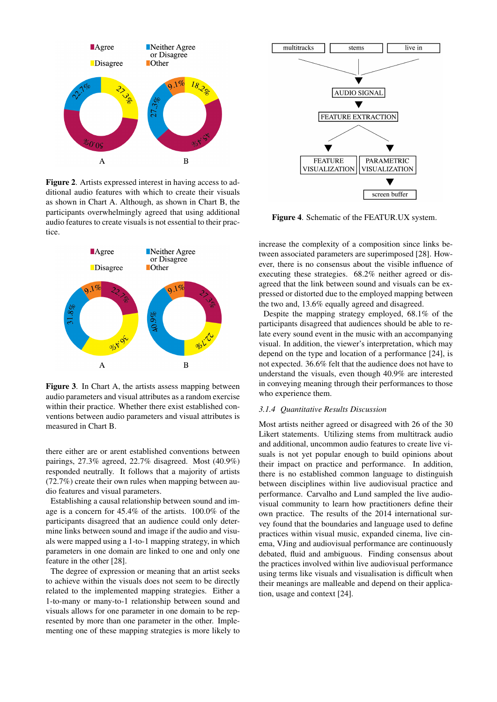<span id="page-4-0"></span>

Figure 2. Artists expressed interest in having access to additional audio features with which to create their visuals as shown in Chart A. Although, as shown in Chart B, the participants overwhelmingly agreed that using additional audio features to create visuals is not essential to their practice.

<span id="page-4-1"></span>

Figure 3. In Chart A, the artists assess mapping between audio parameters and visual attributes as a random exercise within their practice. Whether there exist established conventions between audio parameters and visual attributes is measured in Chart B.

there either are or arent established conventions between pairings, 27.3% agreed, 22.7% disagreed. Most (40.9%) responded neutrally. It follows that a majority of artists (72.7%) create their own rules when mapping between audio features and visual parameters.

Establishing a causal relationship between sound and image is a concern for 45.4% of the artists. 100.0% of the participants disagreed that an audience could only determine links between sound and image if the audio and visuals were mapped using a 1-to-1 mapping strategy, in which parameters in one domain are linked to one and only one feature in the other [\[28\]](#page-9-10).

The degree of expression or meaning that an artist seeks to achieve within the visuals does not seem to be directly related to the implemented mapping strategies. Either a 1-to-many or many-to-1 relationship between sound and visuals allows for one parameter in one domain to be represented by more than one parameter in the other. Implementing one of these mapping strategies is more likely to

<span id="page-4-2"></span>

Figure 4. Schematic of the FEATUR.UX system.

increase the complexity of a composition since links between associated parameters are superimposed [\[28\]](#page-9-10). However, there is no consensus about the visible influence of executing these strategies. 68.2% neither agreed or disagreed that the link between sound and visuals can be expressed or distorted due to the employed mapping between the two and, 13.6% equally agreed and disagreed.

Despite the mapping strategy employed, 68.1% of the participants disagreed that audiences should be able to relate every sound event in the music with an accompanying visual. In addition, the viewer's interpretation, which may depend on the type and location of a performance [\[24\]](#page-9-6), is not expected. 36.6% felt that the audience does not have to understand the visuals, even though 40.9% are interested in conveying meaning through their performances to those who experience them.

## *3.1.4 Quantitative Results Discussion*

Most artists neither agreed or disagreed with 26 of the 30 Likert statements. Utilizing stems from multitrack audio and additional, uncommon audio features to create live visuals is not yet popular enough to build opinions about their impact on practice and performance. In addition, there is no established common language to distinguish between disciplines within live audiovisual practice and performance. Carvalho and Lund sampled the live audiovisual community to learn how practitioners define their own practice. The results of the 2014 international survey found that the boundaries and language used to define practices within visual music, expanded cinema, live cinema, VJing and audiovisual performance are continuously debated, fluid and ambiguous. Finding consensus about the practices involved within live audiovisual performance using terms like visuals and visualisation is difficult when their meanings are malleable and depend on their application, usage and context [\[24\]](#page-9-6).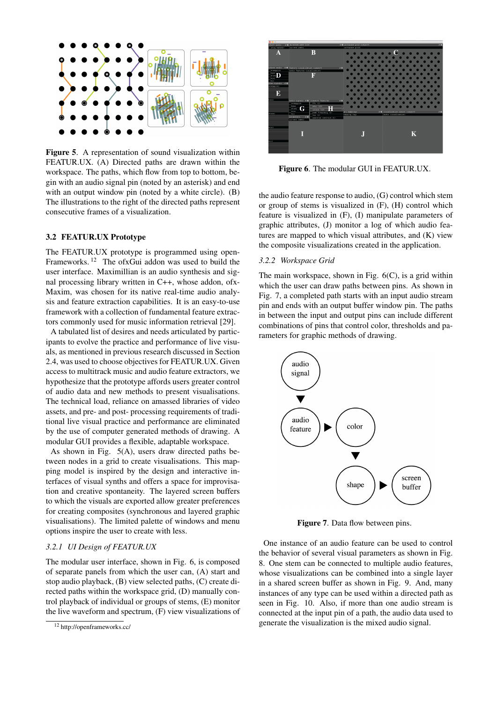<span id="page-5-1"></span>

Figure 5. A representation of sound visualization within FEATUR.UX. (A) Directed paths are drawn within the workspace. The paths, which flow from top to bottom, begin with an audio signal pin (noted by an asterisk) and end with an output window pin (noted by a white circle). (B) The illustrations to the right of the directed paths represent consecutive frames of a visualization.

## 3.2 FEATUR.UX Prototype

The FEATUR.UX prototype is programmed using open-Frameworks.<sup>[12](#page-5-0)</sup> The ofxGui addon was used to build the user interface. Maximillian is an audio synthesis and signal processing library written in C++, whose addon, ofx-Maxim, was chosen for its native real-time audio analysis and feature extraction capabilities. It is an easy-to-use framework with a collection of fundamental feature extractors commonly used for music information retrieval [\[29\]](#page-9-11).

A tabulated list of desires and needs articulated by participants to evolve the practice and performance of live visuals, as mentioned in previous research discussed in Section 2.4, was used to choose objectives for FEATUR.UX. Given access to multitrack music and audio feature extractors, we hypothesize that the prototype affords users greater control of audio data and new methods to present visualisations. The technical load, reliance on amassed libraries of video assets, and pre- and post- processing requirements of traditional live visual practice and performance are eliminated by the use of computer generated methods of drawing. A modular GUI provides a flexible, adaptable workspace.

As shown in Fig. [5\(](#page-5-1)A), users draw directed paths between nodes in a grid to create visualisations. This mapping model is inspired by the design and interactive interfaces of visual synths and offers a space for improvisation and creative spontaneity. The layered screen buffers to which the visuals are exported allow greater preferences for creating composites (synchronous and layered graphic visualisations). The limited palette of windows and menu options inspire the user to create with less.

## *3.2.1 UI Design of FEATUR.UX*

The modular user interface, shown in Fig. [6,](#page-5-2) is composed of separate panels from which the user can, (A) start and stop audio playback, (B) view selected paths, (C) create directed paths within the workspace grid, (D) manually control playback of individual or groups of stems, (E) monitor the live waveform and spectrum, (F) view visualizations of

<span id="page-5-2"></span>

Figure 6. The modular GUI in FEATUR.UX.

the audio feature response to audio, (G) control which stem or group of stems is visualized in (F), (H) control which feature is visualized in (F), (I) manipulate parameters of graphic attributes, (J) monitor a log of which audio features are mapped to which visual attributes, and (K) view the composite visualizations created in the application.

#### *3.2.2 Workspace Grid*

The main workspace, shown in Fig. [6\(](#page-5-2)C), is a grid within which the user can draw paths between pins. As shown in Fig. [7,](#page-5-3) a completed path starts with an input audio stream pin and ends with an output buffer window pin. The paths in between the input and output pins can include different combinations of pins that control color, thresholds and parameters for graphic methods of drawing.

<span id="page-5-3"></span>

Figure 7. Data flow between pins.

One instance of an audio feature can be used to control the behavior of several visual parameters as shown in Fig. [8.](#page-6-0) One stem can be connected to multiple audio features, whose visualizations can be combined into a single layer in a shared screen buffer as shown in Fig. [9.](#page-6-1) And, many instances of any type can be used within a directed path as seen in Fig. [10.](#page-7-0) Also, if more than one audio stream is connected at the input pin of a path, the audio data used to generate the visualization is the mixed audio signal.

<span id="page-5-0"></span><sup>12</sup> http://openframeworks.cc/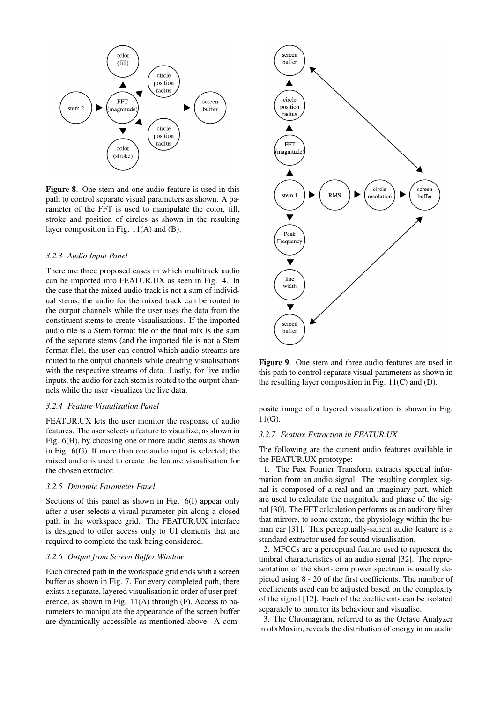<span id="page-6-0"></span>

Figure 8. One stem and one audio feature is used in this path to control separate visual parameters as shown. A parameter of the FFT is used to manipulate the color, fill, stroke and position of circles as shown in the resulting layer composition in Fig. [11\(](#page-7-1)A) and (B).

#### *3.2.3 Audio Input Panel*

There are three proposed cases in which multitrack audio can be imported into FEATUR.UX as seen in Fig. [4.](#page-4-2) In the case that the mixed audio track is not a sum of individual stems, the audio for the mixed track can be routed to the output channels while the user uses the data from the constituent stems to create visualisations. If the imported audio file is a Stem format file or the final mix is the sum of the separate stems (and the imported file is not a Stem format file), the user can control which audio streams are routed to the output channels while creating visualisations with the respective streams of data. Lastly, for live audio inputs, the audio for each stem is routed to the output channels while the user visualizes the live data.

#### *3.2.4 Feature Visualisation Panel*

FEATUR.UX lets the user monitor the response of audio features. The user selects a feature to visualize, as shown in Fig. [6\(](#page-5-2)H), by choosing one or more audio stems as shown in Fig. [6\(](#page-5-2)G). If more than one audio input is selected, the mixed audio is used to create the feature visualisation for the chosen extractor.

#### *3.2.5 Dynamic Parameter Panel*

Sections of this panel as shown in Fig. [6\(](#page-5-2)I) appear only after a user selects a visual parameter pin along a closed path in the workspace grid. The FEATUR.UX interface is designed to offer access only to UI elements that are required to complete the task being considered.

#### *3.2.6 Output from Screen Buffer Window*

Each directed path in the workspace grid ends with a screen buffer as shown in Fig. [7.](#page-5-3) For every completed path, there exists a separate, layered visualisation in order of user preference, as shown in Fig. [11\(](#page-7-1)A) through (F). Access to parameters to manipulate the appearance of the screen buffer are dynamically accessible as mentioned above. A com-

<span id="page-6-1"></span>

Figure 9. One stem and three audio features are used in this path to control separate visual parameters as shown in the resulting layer composition in Fig. [11\(](#page-7-1)C) and (D).

posite image of a layered visualization is shown in Fig. [11\(](#page-7-1)G).

#### *3.2.7 Feature Extraction in FEATUR.UX*

The following are the current audio features available in the FEATUR.UX prototype:

1. The Fast Fourier Transform extracts spectral information from an audio signal. The resulting complex signal is composed of a real and an imaginary part, which are used to calculate the magnitude and phase of the signal [\[30\]](#page-9-12). The FFT calculation performs as an auditory filter that mirrors, to some extent, the physiology within the human ear [\[31\]](#page-9-13). This perceptually-salient audio feature is a standard extractor used for sound visualisation.

2. MFCCs are a perceptual feature used to represent the timbral characteristics of an audio signal [\[32\]](#page-9-14). The representation of the short-term power spectrum is usually depicted using 8 - 20 of the first coefficients. The number of coefficients used can be adjusted based on the complexity of the signal [\[12\]](#page-8-11). Each of the coefficients can be isolated separately to monitor its behaviour and visualise.

3. The Chromagram, referred to as the Octave Analyzer in ofxMaxim, reveals the distribution of energy in an audio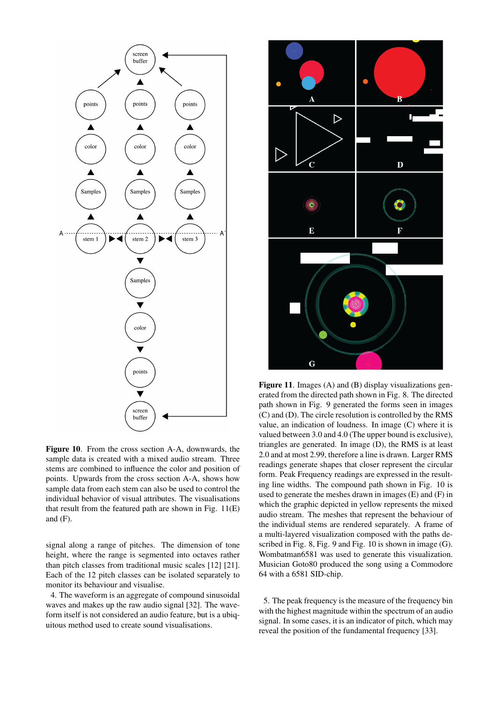<span id="page-7-0"></span>

Figure 10. From the cross section A-A, downwards, the sample data is created with a mixed audio stream. Three stems are combined to influence the color and position of points. Upwards from the cross section A-A, shows how sample data from each stem can also be used to control the individual behavior of visual attributes. The visualisations that result from the featured path are shown in Fig.  $11(E)$  $11(E)$ and (F).

signal along a range of pitches. The dimension of tone height, where the range is segmented into octaves rather than pitch classes from traditional music scales [\[12\]](#page-8-11) [\[21\]](#page-9-3). Each of the 12 pitch classes can be isolated separately to monitor its behaviour and visualise.

4. The waveform is an aggregate of compound sinusoidal waves and makes up the raw audio signal [\[32\]](#page-9-14). The waveform itself is not considered an audio feature, but is a ubiquitous method used to create sound visualisations.

<span id="page-7-1"></span>

Figure 11. Images (A) and (B) display visualizations generated from the directed path shown in Fig. [8.](#page-6-0) The directed path shown in Fig. [9](#page-6-1) generated the forms seen in images (C) and (D). The circle resolution is controlled by the RMS value, an indication of loudness. In image (C) where it is valued between 3.0 and 4.0 (The upper bound is exclusive), triangles are generated. In image (D), the RMS is at least 2.0 and at most 2.99, therefore a line is drawn. Larger RMS readings generate shapes that closer represent the circular form. Peak Frequency readings are expressed in the resulting line widths. The compound path shown in Fig. [10](#page-7-0) is used to generate the meshes drawn in images (E) and (F) in which the graphic depicted in yellow represents the mixed audio stream. The meshes that represent the behaviour of the individual stems are rendered separately. A frame of a multi-layered visualization composed with the paths described in Fig. [8,](#page-6-0) Fig. [9](#page-6-1) and Fig. [10](#page-7-0) is shown in image (G). Wombatman6581 was used to generate this visualization. Musician Goto80 produced the song using a Commodore 64 with a 6581 SID-chip.

5. The peak frequency is the measure of the frequency bin with the highest magnitude within the spectrum of an audio signal. In some cases, it is an indicator of pitch, which may reveal the position of the fundamental frequency [\[33\]](#page-9-15).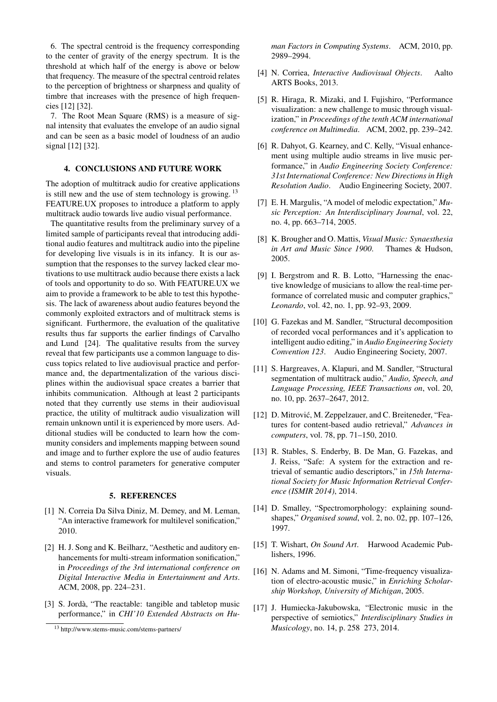6. The spectral centroid is the frequency corresponding to the center of gravity of the energy spectrum. It is the threshold at which half of the energy is above or below that frequency. The measure of the spectral centroid relates to the perception of brightness or sharpness and quality of timbre that increases with the presence of high frequencies [\[12\]](#page-8-11) [\[32\]](#page-9-14).

7. The Root Mean Square (RMS) is a measure of signal intensity that evaluates the envelope of an audio signal and can be seen as a basic model of loudness of an audio signal [\[12\]](#page-8-11) [\[32\]](#page-9-14).

## 4. CONCLUSIONS AND FUTURE WORK

The adoption of multitrack audio for creative applications is still new and the use of stem technology is growing.  $13$ FEATURE.UX proposes to introduce a platform to apply multitrack audio towards live audio visual performance.

The quantitative results from the preliminary survey of a limited sample of participants reveal that introducing additional audio features and multitrack audio into the pipeline for developing live visuals is in its infancy. It is our assumption that the responses to the survey lacked clear motivations to use multitrack audio because there exists a lack of tools and opportunity to do so. With FEATURE.UX we aim to provide a framework to be able to test this hypothesis. The lack of awareness about audio features beyond the commonly exploited extractors and of multitrack stems is significant. Furthermore, the evaluation of the qualitative results thus far supports the earlier findings of Carvalho and Lund [\[24\]](#page-9-6). The qualitative results from the survey reveal that few participants use a common language to discuss topics related to live audiovisual practice and performance and, the departmentalization of the various disciplines within the audiovisual space creates a barrier that inhibits communication. Although at least 2 participants noted that they currently use stems in their audiovisual practice, the utility of multitrack audio visualization will remain unknown until it is experienced by more users. Additional studies will be conducted to learn how the community considers and implements mapping between sound and image and to further explore the use of audio features and stems to control parameters for generative computer visuals.

## 5. REFERENCES

- <span id="page-8-0"></span>[1] N. Correia Da Silva Diniz, M. Demey, and M. Leman, "An interactive framework for multilevel sonification," 2010.
- <span id="page-8-1"></span>[2] H. J. Song and K. Beilharz, "Aesthetic and auditory enhancements for multi-stream information sonification," in *Proceedings of the 3rd international conference on Digital Interactive Media in Entertainment and Arts*. ACM, 2008, pp. 224–231.
- <span id="page-8-2"></span>[3] S. Jordà, "The reactable: tangible and tabletop music performance," in *CHI'10 Extended Abstracts on Hu-*

*man Factors in Computing Systems*. ACM, 2010, pp. 2989–2994.

- <span id="page-8-3"></span>[4] N. Corriea, *Interactive Audiovisual Objects*. Aalto ARTS Books, 2013.
- <span id="page-8-4"></span>[5] R. Hiraga, R. Mizaki, and I. Fujishiro, "Performance visualization: a new challenge to music through visualization," in *Proceedings of the tenth ACM international conference on Multimedia*. ACM, 2002, pp. 239–242.
- <span id="page-8-5"></span>[6] R. Dahyot, G. Kearney, and C. Kelly, "Visual enhancement using multiple audio streams in live music performance," in *Audio Engineering Society Conference: 31st International Conference: New Directions in High Resolution Audio*. Audio Engineering Society, 2007.
- <span id="page-8-6"></span>[7] E. H. Margulis, "A model of melodic expectation," *Music Perception: An Interdisciplinary Journal*, vol. 22, no. 4, pp. 663–714, 2005.
- <span id="page-8-7"></span>[8] K. Brougher and O. Mattis, *Visual Music: Synaesthesia in Art and Music Since 1900*. Thames & Hudson, 2005.
- <span id="page-8-8"></span>[9] I. Bergstrom and R. B. Lotto, "Harnessing the enactive knowledge of musicians to allow the real-time performance of correlated music and computer graphics," *Leonardo*, vol. 42, no. 1, pp. 92–93, 2009.
- <span id="page-8-9"></span>[10] G. Fazekas and M. Sandler, "Structural decomposition of recorded vocal performances and it's application to intelligent audio editing," in *Audio Engineering Society Convention 123*. Audio Engineering Society, 2007.
- <span id="page-8-10"></span>[11] S. Hargreaves, A. Klapuri, and M. Sandler, "Structural segmentation of multitrack audio," *Audio, Speech, and Language Processing, IEEE Transactions on*, vol. 20, no. 10, pp. 2637–2647, 2012.
- <span id="page-8-11"></span>[12] D. Mitrović, M. Zeppelzauer, and C. Breiteneder, "Features for content-based audio retrieval," *Advances in computers*, vol. 78, pp. 71–150, 2010.
- <span id="page-8-12"></span>[13] R. Stables, S. Enderby, B. De Man, G. Fazekas, and J. Reiss, "Safe: A system for the extraction and retrieval of semantic audio descriptors," in *15th International Society for Music Information Retrieval Conference (ISMIR 2014)*, 2014.
- <span id="page-8-13"></span>[14] D. Smalley, "Spectromorphology: explaining soundshapes," *Organised sound*, vol. 2, no. 02, pp. 107–126, 1997.
- <span id="page-8-14"></span>[15] T. Wishart, *On Sound Art*. Harwood Academic Publishers, 1996.
- <span id="page-8-15"></span>[16] N. Adams and M. Simoni, "Time-frequency visualization of electro-acoustic music," in *Enriching Scholarship Workshop, University of Michigan*, 2005.
- <span id="page-8-16"></span>[17] J. Humiecka-Jakubowska, "Electronic music in the perspective of semiotics," *Interdisciplinary Studies in Musicology*, no. 14, p. 258 273, 2014.

<span id="page-8-17"></span><sup>13</sup> http://www.stems-music.com/stems-partners/